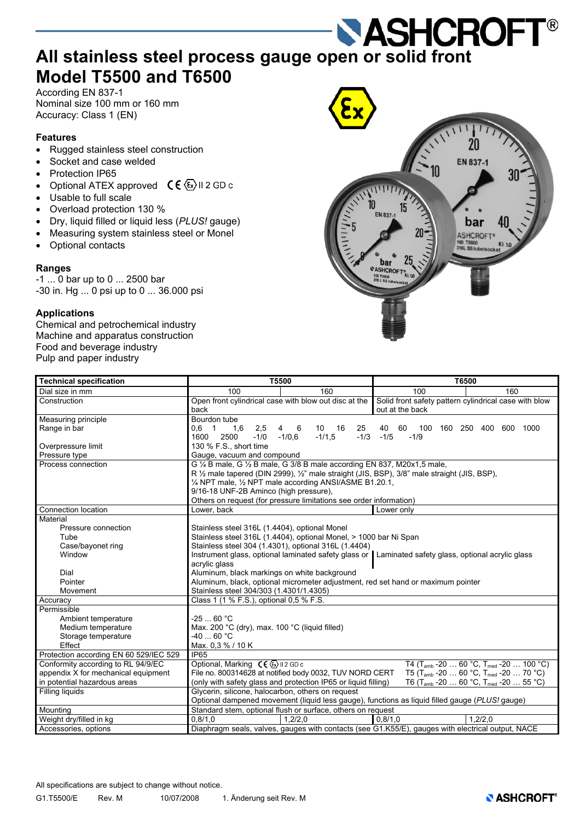# **ALL STANDER ALL STANDER ARRIVER ALL STAINS AND STANDER ALL STAINS AND READ FOR ALL STAINS AND READ FOR ALL STAINS AND READ FOR ALL STAINS AND READ FOR ALL STAINS AND READ FOR ALL STAINS AND READ FOR ALL STAINS AND READ FO Model T5500 and T6500**

According EN 837-1 Nominal size 100 mm or 160 mm Accuracy: Class 1 (EN)

# **Features**

- Rugged stainless steel construction
- Socket and case welded
- Protection IP65
- Optional ATEX approved  $C \in \langle E \rangle$  II 2 GD c
- Usable to full scale
- Overload protection 130 %
- Dry, liquid filled or liquid less (*PLUS!* gauge)
- Measuring system stainless steel or Monel
- Optional contacts

# **Ranges**

-1 ... 0 bar up to 0 ... 2500 bar -30 in. Hg ... 0 psi up to 0 ... 36.000 psi

## **Applications**

Chemical and petrochemical industry Machine and apparatus construction Food and beverage industry Pulp and paper industry



| <b>Technical specification</b>         | T5500<br>T6500                                                                                                                  |  |  |  |  |  |  |  |  |  |  |
|----------------------------------------|---------------------------------------------------------------------------------------------------------------------------------|--|--|--|--|--|--|--|--|--|--|
| Dial size in mm                        | 100<br>160<br>100<br>160                                                                                                        |  |  |  |  |  |  |  |  |  |  |
| Construction                           | Open front cylindrical case with blow out disc at the<br>Solid front safety pattern cylindrical case with blow                  |  |  |  |  |  |  |  |  |  |  |
|                                        | back<br>out at the back                                                                                                         |  |  |  |  |  |  |  |  |  |  |
| Measuring principle                    | Bourdon tube                                                                                                                    |  |  |  |  |  |  |  |  |  |  |
| Range in bar                           | $0.6 \quad 1$<br>1,6<br>2,5<br>6<br>10<br>16<br>25<br>40<br>60<br>100<br>160<br>250 400<br>600<br>1000<br>$\overline{4}$        |  |  |  |  |  |  |  |  |  |  |
|                                        | 2500<br>$-1/1.5$<br>$-1/3 - 1/5$<br>1600<br>$-1/0$<br>$-1/0.6$<br>$-1/9$                                                        |  |  |  |  |  |  |  |  |  |  |
| Overpressure limit                     | 130 % F.S., short time                                                                                                          |  |  |  |  |  |  |  |  |  |  |
| Pressure type                          | Gauge, vacuum and compound                                                                                                      |  |  |  |  |  |  |  |  |  |  |
| Process connection                     | G 1/4 B male, G 1/2 B male, G 3/8 B male according EN 837, M20x1,5 male,                                                        |  |  |  |  |  |  |  |  |  |  |
|                                        | R 1/2 male tapered (DIN 2999), 1/2" male straight (JIS, BSP), 3/8" male straight (JIS, BSP),                                    |  |  |  |  |  |  |  |  |  |  |
|                                        | 1/4 NPT male, 1/2 NPT male according ANSI/ASME B1.20.1,                                                                         |  |  |  |  |  |  |  |  |  |  |
|                                        | 9/16-18 UNF-2B Aminco (high pressure),                                                                                          |  |  |  |  |  |  |  |  |  |  |
|                                        | Others on request (for pressure limitations see order information)                                                              |  |  |  |  |  |  |  |  |  |  |
| Connection location                    | Lower, back<br>Lower only                                                                                                       |  |  |  |  |  |  |  |  |  |  |
| Material                               |                                                                                                                                 |  |  |  |  |  |  |  |  |  |  |
| Pressure connection                    | Stainless steel 316L (1.4404), optional Monel                                                                                   |  |  |  |  |  |  |  |  |  |  |
| Tube                                   | Stainless steel 316L (1.4404), optional Monel, > 1000 bar Ni Span                                                               |  |  |  |  |  |  |  |  |  |  |
| Case/bayonet ring                      | Stainless steel 304 (1.4301), optional 316L (1.4404)                                                                            |  |  |  |  |  |  |  |  |  |  |
| Window                                 | Instrument glass, optional laminated safety glass or Laminated safety glass, optional acrylic glass                             |  |  |  |  |  |  |  |  |  |  |
|                                        | acrylic glass                                                                                                                   |  |  |  |  |  |  |  |  |  |  |
| Dial                                   | Aluminum, black markings on white background                                                                                    |  |  |  |  |  |  |  |  |  |  |
| Pointer                                | Aluminum, black, optional micrometer adjustment, red set hand or maximum pointer                                                |  |  |  |  |  |  |  |  |  |  |
| Movement                               | Stainless steel 304/303 (1.4301/1.4305)                                                                                         |  |  |  |  |  |  |  |  |  |  |
| Accuracy                               | Class 1 (1 % F.S.), optional 0.5 % F.S.                                                                                         |  |  |  |  |  |  |  |  |  |  |
| Permissible                            |                                                                                                                                 |  |  |  |  |  |  |  |  |  |  |
| Ambient temperature                    | $-2560 °C$                                                                                                                      |  |  |  |  |  |  |  |  |  |  |
| Medium temperature                     | Max. 200 °C (dry), max. 100 °C (liquid filled)                                                                                  |  |  |  |  |  |  |  |  |  |  |
| Storage temperature                    | $-4060 °C$                                                                                                                      |  |  |  |  |  |  |  |  |  |  |
| Effect                                 | Max. 0,3 % / 10 K                                                                                                               |  |  |  |  |  |  |  |  |  |  |
| Protection according EN 60 529/IEC 529 | IP <sub>65</sub>                                                                                                                |  |  |  |  |  |  |  |  |  |  |
| Conformity according to RL 94/9/EC     | Optional, Marking $C \in \{ \underline{\mathbb{S}} \}$ II 2 GD c<br>T4 $(T_{amb} - 20  60 °C, T_{med} - 20  100 °C)$            |  |  |  |  |  |  |  |  |  |  |
| appendix X for mechanical equipment    | File no. 800314628 at notified body 0032, TUV NORD CERT<br>T5 (T <sub>amb</sub> -20  60 °C, T <sub>med</sub> -20  70 °C)        |  |  |  |  |  |  |  |  |  |  |
| in potential hazardous areas           | (only with safety glass and protection IP65 or liquid filling)<br>T6 (T <sub>amb</sub> -20  60 °C, T <sub>med</sub> -20  55 °C) |  |  |  |  |  |  |  |  |  |  |
| Filling liquids                        | Glycerin, silicone, halocarbon, others on request                                                                               |  |  |  |  |  |  |  |  |  |  |
|                                        | Optional dampened movement (liquid less gauge), functions as liquid filled gauge (PLUS! gauge)                                  |  |  |  |  |  |  |  |  |  |  |
| Mounting                               | Standard stem, optional flush or surface, others on request                                                                     |  |  |  |  |  |  |  |  |  |  |
| Weight dry/filled in kg                | 0.8/1.0<br>1.2/2.0<br>1.2/2.0<br>0.8/1.0                                                                                        |  |  |  |  |  |  |  |  |  |  |
| Accessories, options                   | Diaphragm seals, valves, gauges with contacts (see G1.K55/E), gauges with electrical output, NACE                               |  |  |  |  |  |  |  |  |  |  |